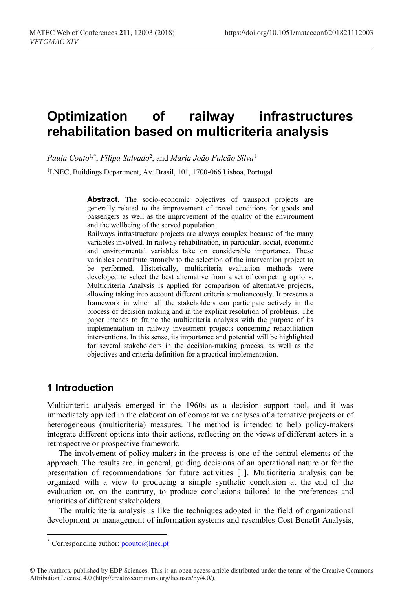# **Optimization of railway infrastructures rehabilitation based on multicriteria analysis**

*Paula Couto*1,\* , *Filipa Salvado*<sup>2</sup> , and *Maria João Falcão Silva*<sup>1</sup>

<sup>1</sup>LNEC, Buildings Department, Av. Brasil, 101, 1700-066 Lisboa, Portugal

Abstract. The socio-economic objectives of transport projects are generally related to the improvement of travel conditions for goods and passengers as well as the improvement of the quality of the environment and the wellbeing of the served population.

Railways infrastructure projects are always complex because of the many variables involved. In railway rehabilitation, in particular, social, economic and environmental variables take on considerable importance. These variables contribute strongly to the selection of the intervention project to be performed. Historically, multicriteria evaluation methods were developed to select the best alternative from a set of competing options. Multicriteria Analysis is applied for comparison of alternative projects, allowing taking into account different criteria simultaneously. It presents a framework in which all the stakeholders can participate actively in the process of decision making and in the explicit resolution of problems. The paper intends to frame the multicriteria analysis with the purpose of its implementation in railway investment projects concerning rehabilitation interventions. In this sense, its importance and potential will be highlighted for several stakeholders in the decision-making process, as well as the objectives and criteria definition for a practical implementation.

## **1 Introduction**

 $\overline{a}$ 

Multicriteria analysis emerged in the 1960s as a decision support tool, and it was immediately applied in the elaboration of comparative analyses of alternative projects or of heterogeneous (multicriteria) measures. The method is intended to help policy-makers integrate different options into their actions, reflecting on the views of different actors in a retrospective or prospective framework.

The involvement of policy-makers in the process is one of the central elements of the approach. The results are, in general, guiding decisions of an operational nature or for the presentation of recommendations for future activities [1]. Multicriteria analysis can be organized with a view to producing a simple synthetic conclusion at the end of the evaluation or, on the contrary, to produce conclusions tailored to the preferences and priorities of different stakeholders.

The multicriteria analysis is like the techniques adopted in the field of organizational development or management of information systems and resembles Cost Benefit Analysis,

<sup>\*</sup> Corresponding author: pcouto@lnec.pt

<sup>©</sup> The Authors, published by EDP Sciences. This is an open access article distributed under the terms of the Creative Commons Attribution License 4.0 (http://creativecommons.org/licenses/by/4.0/).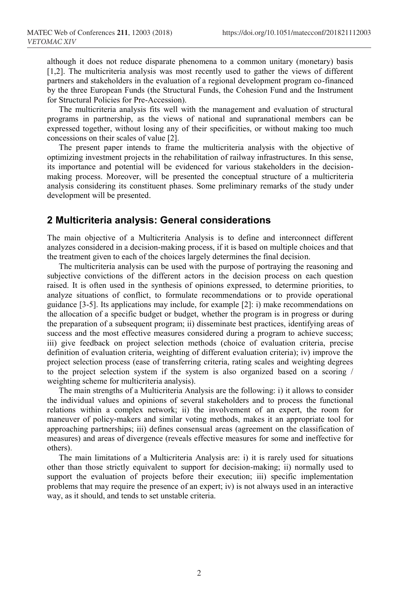although it does not reduce disparate phenomena to a common unitary (monetary) basis [1,2]. The multicriteria analysis was most recently used to gather the views of different partners and stakeholders in the evaluation of a regional development program co-financed by the three European Funds (the Structural Funds, the Cohesion Fund and the Instrument for Structural Policies for Pre-Accession).

The multicriteria analysis fits well with the management and evaluation of structural programs in partnership, as the views of national and supranational members can be expressed together, without losing any of their specificities, or without making too much concessions on their scales of value [2].

The present paper intends to frame the multicriteria analysis with the objective of optimizing investment projects in the rehabilitation of railway infrastructures. In this sense, its importance and potential will be evidenced for various stakeholders in the decisionmaking process. Moreover, will be presented the conceptual structure of a multicriteria analysis considering its constituent phases. Some preliminary remarks of the study under development will be presented.

#### **2 Multicriteria analysis: General considerations**

The main objective of a Multicriteria Analysis is to define and interconnect different analyzes considered in a decision-making process, if it is based on multiple choices and that the treatment given to each of the choices largely determines the final decision.

The multicriteria analysis can be used with the purpose of portraying the reasoning and subjective convictions of the different actors in the decision process on each question raised. It is often used in the synthesis of opinions expressed, to determine priorities, to analyze situations of conflict, to formulate recommendations or to provide operational guidance [3-5]. Its applications may include, for example [2]: i) make recommendations on the allocation of a specific budget or budget, whether the program is in progress or during the preparation of a subsequent program; ii) disseminate best practices, identifying areas of success and the most effective measures considered during a program to achieve success; iii) give feedback on project selection methods (choice of evaluation criteria, precise definition of evaluation criteria, weighting of different evaluation criteria); iv) improve the project selection process (ease of transferring criteria, rating scales and weighting degrees to the project selection system if the system is also organized based on a scoring / weighting scheme for multicriteria analysis).

The main strengths of a Multicriteria Analysis are the following: i) it allows to consider the individual values and opinions of several stakeholders and to process the functional relations within a complex network; ii) the involvement of an expert, the room for maneuver of policy-makers and similar voting methods, makes it an appropriate tool for approaching partnerships; iii) defines consensual areas (agreement on the classification of measures) and areas of divergence (reveals effective measures for some and ineffective for others).

The main limitations of a Multicriteria Analysis are: i) it is rarely used for situations other than those strictly equivalent to support for decision-making; ii) normally used to support the evaluation of projects before their execution; iii) specific implementation problems that may require the presence of an expert; iv) is not always used in an interactive way, as it should, and tends to set unstable criteria.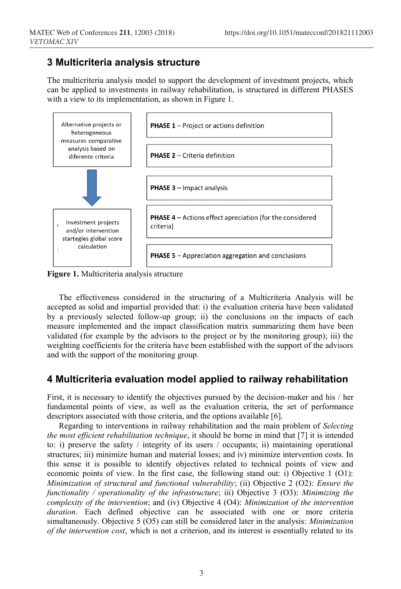## **3 Multicriteria analysis structure**

The multicriteria analysis model to support the development of investment projects, which can be applied to investments in railway rehabilitation, is structured in different PHASES with a view to its implementation, as shown in Figure 1.



**Figure 1.** Multicriteria analysis structure

The effectiveness considered in the structuring of a Multicriteria Analysis will be accepted as solid and impartial provided that: i) the evaluation criteria have been validated by a previously selected follow-up group; ii) the conclusions on the impacts of each measure implemented and the impact classification matrix summarizing them have been validated (for example by the advisors to the project or by the monitoring group); iii) the weighting coefficients for the criteria have been established with the support of the advisors and with the support of the monitoring group.

## **4 Multicriteria evaluation model applied to railway rehabilitation**

First, it is necessary to identify the objectives pursued by the decision-maker and his / her fundamental points of view, as well as the evaluation criteria, the set of performance descriptors associated with those criteria, and the options available [6].

Regarding to interventions in railway rehabilitation and the main problem of *Selecting the most efficient rehabilitation technique*, it should be borne in mind that [7] it is intended to: i) preserve the safety / integrity of its users / occupants; ii) maintaining operational structures; iii) minimize human and material losses; and iv) minimize intervention costs. In this sense it is possible to identify objectives related to technical points of view and economic points of view. In the first case, the following stand out: i) Objective 1 (O1): *Minimization of structural and functional vulnerability*; (ii) Objective 2 (O2): *Ensure the functionality / operationality of the infrastructure*; iii) Objective 3 (O3): *Minimizing the complexity of the intervention*; and (iv) Objective 4 (O4): *Minimization of the intervention duration*. Each defined objective can be associated with one or more criteria simultaneously. Objective 5 (O5) can still be considered later in the analysis: *Minimization of the intervention cost*, which is not a criterion, and its interest is essentially related to its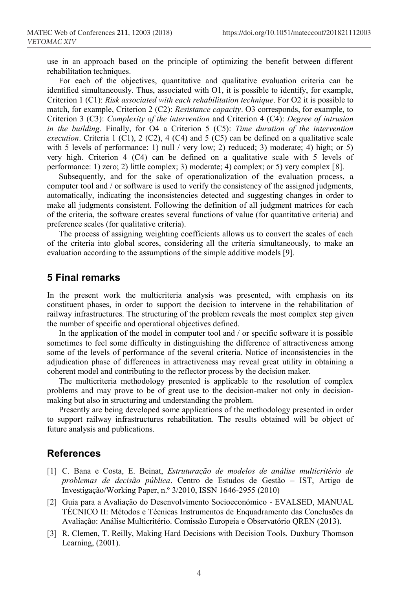use in an approach based on the principle of optimizing the benefit between different rehabilitation techniques.

For each of the objectives, quantitative and qualitative evaluation criteria can be identified simultaneously. Thus, associated with O1, it is possible to identify, for example, Criterion 1 (C1): *Risk associated with each rehabilitation technique*. For O2 it is possible to match, for example, Criterion 2 (C2): *Resistance capacity*. O3 corresponds, for example, to Criterion 3 (C3): *Complexity of the intervention* and Criterion 4 (C4): *Degree of intrusion in the building*. Finally, for O4 a Criterion 5 (C5): *Time duration of the intervention execution*. Criteria 1 (C1), 2 (C2), 4 (C4) and 5 (C5) can be defined on a qualitative scale with 5 levels of performance: 1) null / very low; 2) reduced; 3) moderate; 4) high; or 5) very high. Criterion 4 (C4) can be defined on a qualitative scale with 5 levels of performance: 1) zero; 2) little complex; 3) moderate; 4) complex; or 5) very complex [8].

Subsequently, and for the sake of operationalization of the evaluation process, a computer tool and / or software is used to verify the consistency of the assigned judgments, automatically, indicating the inconsistencies detected and suggesting changes in order to make all judgments consistent. Following the definition of all judgment matrices for each of the criteria, the software creates several functions of value (for quantitative criteria) and preference scales (for qualitative criteria).

The process of assigning weighting coefficients allows us to convert the scales of each of the criteria into global scores, considering all the criteria simultaneously, to make an evaluation according to the assumptions of the simple additive models [9].

#### **5 Final remarks**

In the present work the multicriteria analysis was presented, with emphasis on its constituent phases, in order to support the decision to intervene in the rehabilitation of railway infrastructures. The structuring of the problem reveals the most complex step given the number of specific and operational objectives defined.

In the application of the model in computer tool and / or specific software it is possible sometimes to feel some difficulty in distinguishing the difference of attractiveness among some of the levels of performance of the several criteria. Notice of inconsistencies in the adjudication phase of differences in attractiveness may reveal great utility in obtaining a coherent model and contributing to the reflector process by the decision maker.

The multicriteria methodology presented is applicable to the resolution of complex problems and may prove to be of great use to the decision-maker not only in decisionmaking but also in structuring and understanding the problem.

Presently are being developed some applications of the methodology presented in order to support railway infrastructures rehabilitation. The results obtained will be object of future analysis and publications.

### **References**

- [1] C. Bana e Costa, E. Beinat, *Estruturação de modelos de análise multicritério de problemas de decisão pública*. Centro de Estudos de Gestão – IST, Artigo de Investigação/Working Paper, n.º 3/2010, ISSN 1646-2955 (2010)
- [2] Guia para a Avaliação do Desenvolvimento Socioeconómico EVALSED, MANUAL TÉCNICO II: Métodos e Técnicas Instrumentos de Enquadramento das Conclusões da Avaliação: Análise Multicritério. Comissão Europeia e Observatório QREN (2013).
- [3] R. Clemen, T. Reilly, Making Hard Decisions with Decision Tools. Duxbury Thomson Learning, (2001).